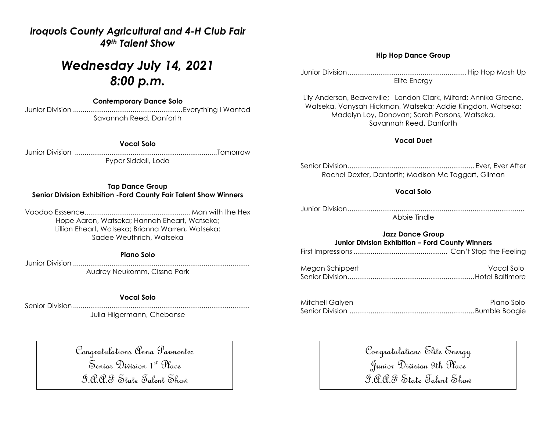### *Iroquois County Agricultural and 4-H Club Fair 49th Talent Show*

# *Wednesday July 14, 2021 8:00 p.m.*

**Contemporary Dance Solo**

Junior Division .........................................................Everything I Wanted Savannah Reed, Danforth

#### **Vocal Solo**

Junior Division ..........................................................................Tomorrow Pyper Siddall, Loda

#### **Tap Dance Group Senior Division Exhibition -Ford County Fair Talent Show Winners**

Voodoo Esssence....................................................... Man with the Hex Hope Aaron, Watseka; Hannah Eheart, Watseka; Lillian Eheart, Watseka; Brianna Warren, Watseka; Sadee Weuthrich, Watseka

#### **Piano Solo**

Junior Division ............................................................................................ Audrey Neukomm, Cissna Park

#### **Vocal Solo**

Senior Division ............................................................................................

Julia Hilgermann, Chebanse

Congratulations Anna Parmenter Senior Division 1st Place I.A.A.F State Talent Show

#### **Hip Hop Dance Group**

Junior Division.............................................................. Hip Hop Mash Up Elite Energy

Lily Anderson, Beaverville; London Clark, Milford; Annika Greene, Watseka, Vanysah Hickman, Watseka; Addie Kingdon, Watseka; Madelyn Loy, Donovan; Sarah Parsons, Watseka, Savannah Reed, Danforth

#### **Vocal Duet**

Senior Division.................................................................. Ever, Ever After Rachel Dexter, Danforth; Madison Mc Taggart, Gilman

#### **Vocal Solo**

Junior Division............................................................................................ Abbie Tindle

#### **Jazz Dance Group Junior Division Exhibition – Ford County Winners**

| Megan Schippert | Vocal Solo |
|-----------------|------------|
|                 |            |

| Mitchell Galyen | Piano Solo |
|-----------------|------------|
|                 |            |